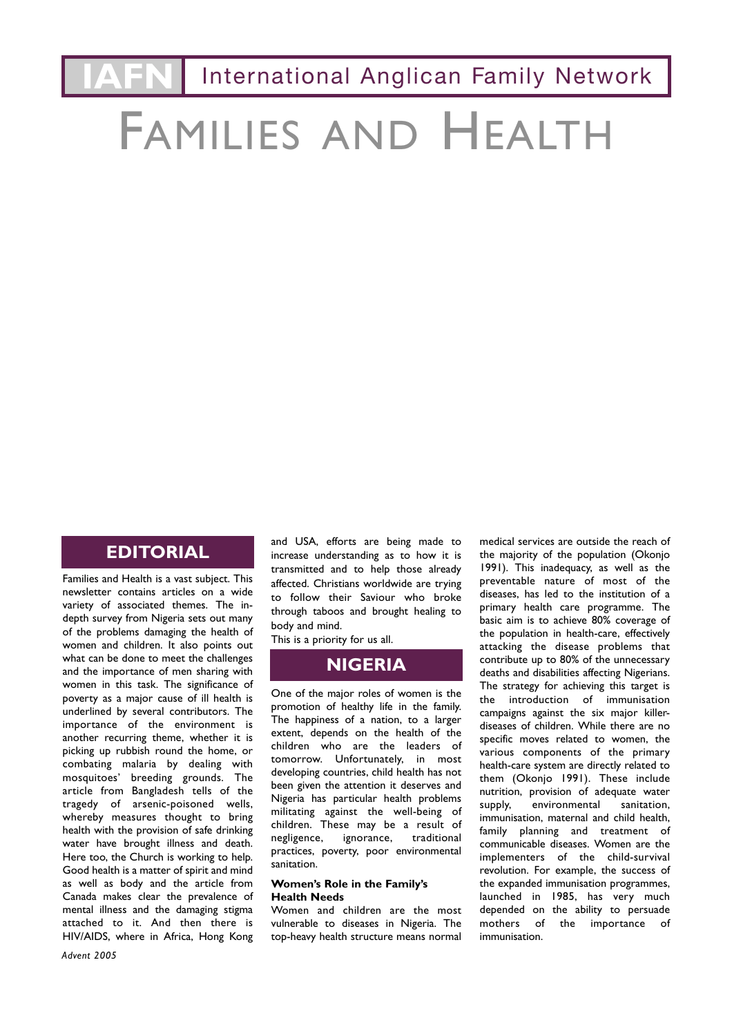**International Anglican Family Network** 

# FAMILIES AND HEALTH

## **EDITORIAL**

Families and Health is a vast subject. This newsletter contains articles on a wide variety of associated themes. The indepth survey from Nigeria sets out many of the problems damaging the health of women and children. It also points out what can be done to meet the challenges and the importance of men sharing with women in this task. The significance of poverty as a major cause of ill health is underlined by several contributors. The importance of the environment is another recurring theme, whether it is picking up rubbish round the home, or combating malaria by dealing with mosquitoes' breeding grounds. The article from Bangladesh tells of the tragedy of arsenic-poisoned wells, whereby measures thought to bring health with the provision of safe drinking water have brought illness and death. Here too, the Church is working to help. Good health is a matter of spirit and mind as well as body and the article from Canada makes clear the prevalence of mental illness and the damaging stigma attached to it. And then there is HIV/AIDS, where in Africa, Hong Kong

and USA, efforts are being made to increase understanding as to how it is transmitted and to help those already affected. Christians worldwide are trying to follow their Saviour who broke through taboos and brought healing to body and mind.

This is a priority for us all.

## **NIGERIA**

One of the major roles of women is the promotion of healthy life in the family. The happiness of a nation, to a larger extent, depends on the health of the children who are the leaders of tomorrow. Unfortunately, in most developing countries, child health has not been given the attention it deserves and Nigeria has particular health problems militating against the well-being of children. These may be a result of<br>negligence. ignorance. traditional negligence, ignorance, practices, poverty, poor environmental sanitation.

#### **Women's Role in the Family's Health Needs**

Women and children are the most vulnerable to diseases in Nigeria. The top-heavy health structure means normal medical services are outside the reach of the majority of the population (Okonjo 1991). This inadequacy, as well as the preventable nature of most of the diseases, has led to the institution of a primary health care programme. The basic aim is to achieve 80% coverage of the population in health-care, effectively attacking the disease problems that contribute up to 80% of the unnecessary deaths and disabilities affecting Nigerians. The strategy for achieving this target is the introduction of immunisation campaigns against the six major killerdiseases of children. While there are no specific moves related to women, the various components of the primary health-care system are directly related to them (Okonjo 1991). These include nutrition, provision of adequate water<br>supply. environmental sanitation. supply, environmental immunisation, maternal and child health, family planning and treatment of communicable diseases. Women are the implementers of the child-survival revolution. For example, the success of the expanded immunisation programmes, launched in 1985, has very much depended on the ability to persuade mothers of the importance of immunisation.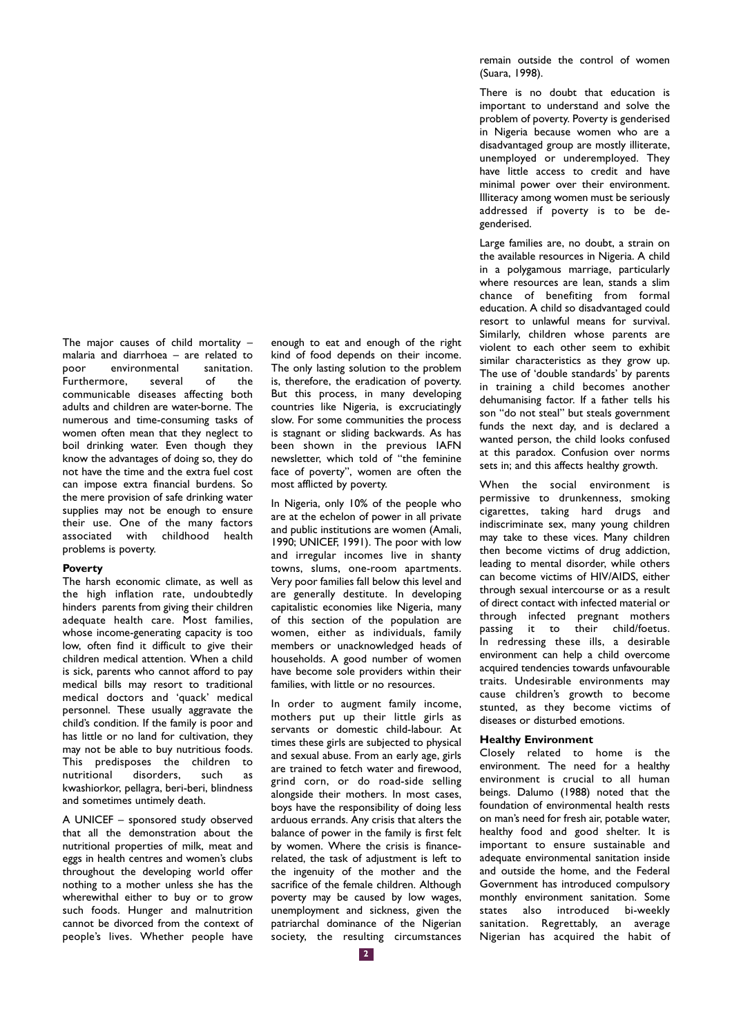The major causes of child mortality – malaria and diarrhoea – are related to poor environmental san<br>Furthermore. several of Furthermore, several of the communicable diseases affecting both adults and children are water-borne. The numerous and time-consuming tasks of women often mean that they neglect to boil drinking water. Even though they know the advantages of doing so, they do not have the time and the extra fuel cost can impose extra financial burdens. So the mere provision of safe drinking water supplies may not be enough to ensure their use. One of the many factors associated with childhood health problems is poverty.

#### **Poverty**

The harsh economic climate, as well as the high inflation rate, undoubtedly hinders parents from giving their children adequate health care. Most families, whose income-generating capacity is too low, often find it difficult to give their children medical attention. When a child is sick, parents who cannot afford to pay medical bills may resort to traditional medical doctors and 'quack' medical personnel. These usually aggravate the child's condition. If the family is poor and has little or no land for cultivation, they may not be able to buy nutritious foods. This predisposes the children to<br>nutritional disorders, such as disorders, such as kwashiorkor, pellagra, beri-beri, blindness and sometimes untimely death.

A UNICEF – sponsored study observed that all the demonstration about the nutritional properties of milk, meat and eggs in health centres and women's clubs throughout the developing world offer nothing to a mother unless she has the wherewithal either to buy or to grow such foods. Hunger and malnutrition cannot be divorced from the context of people's lives. Whether people have enough to eat and enough of the right kind of food depends on their income. The only lasting solution to the problem is, therefore, the eradication of poverty. But this process, in many developing countries like Nigeria, is excruciatingly slow. For some communities the process is stagnant or sliding backwards. As has been shown in the previous IAFN newsletter, which told of "the feminine face of poverty", women are often the most afflicted by poverty.

In Nigeria, only 10% of the people who are at the echelon of power in all private and public institutions are women (Amali, 1990; UNICEF, 1991). The poor with low and irregular incomes live in shanty towns, slums, one-room apartments. Very poor families fall below this level and are generally destitute. In developing capitalistic economies like Nigeria, many of this section of the population are women, either as individuals, family members or unacknowledged heads of households. A good number of women have become sole providers within their families, with little or no resources.

In order to augment family income, mothers put up their little girls as servants or domestic child-labour. At times these girls are subjected to physical and sexual abuse. From an early age, girls are trained to fetch water and firewood, grind corn, or do road-side selling alongside their mothers. In most cases, boys have the responsibility of doing less arduous errands. Any crisis that alters the balance of power in the family is first felt by women. Where the crisis is financerelated, the task of adjustment is left to the ingenuity of the mother and the sacrifice of the female children. Although poverty may be caused by low wages, unemployment and sickness, given the patriarchal dominance of the Nigerian society, the resulting circumstances remain outside the control of women (Suara, 1998).

There is no doubt that education is important to understand and solve the problem of poverty. Poverty is genderised in Nigeria because women who are a disadvantaged group are mostly illiterate, unemployed or underemployed. They have little access to credit and have minimal power over their environment. Illiteracy among women must be seriously addressed if poverty is to be degenderised.

Large families are, no doubt, a strain on the available resources in Nigeria. A child in a polygamous marriage, particularly where resources are lean, stands a slim chance of benefiting from formal education. A child so disadvantaged could resort to unlawful means for survival. Similarly, children whose parents are violent to each other seem to exhibit similar characteristics as they grow up. The use of 'double standards' by parents in training a child becomes another dehumanising factor. If a father tells his son "do not steal" but steals government funds the next day, and is declared a wanted person, the child looks confused at this paradox. Confusion over norms sets in; and this affects healthy growth.

When the social environment is permissive to drunkenness, smoking cigarettes, taking hard drugs and indiscriminate sex, many young children may take to these vices. Many children then become victims of drug addiction, leading to mental disorder, while others can become victims of HIV/AIDS, either through sexual intercourse or as a result of direct contact with infected material or through infected pregnant mothers passing it to their child/foetus. In redressing these ills, a desirable environment can help a child overcome acquired tendencies towards unfavourable traits. Undesirable environments may cause children's growth to become stunted, as they become victims of diseases or disturbed emotions.

#### **Healthy Environment**

Closely related to home is the environment. The need for a healthy environment is crucial to all human beings. Dalumo (1988) noted that the foundation of environmental health rests on man's need for fresh air, potable water, healthy food and good shelter. It is important to ensure sustainable and adequate environmental sanitation inside and outside the home, and the Federal Government has introduced compulsory monthly environment sanitation. Some states also introduced bi-weekly sanitation. Regrettably, an average Nigerian has acquired the habit of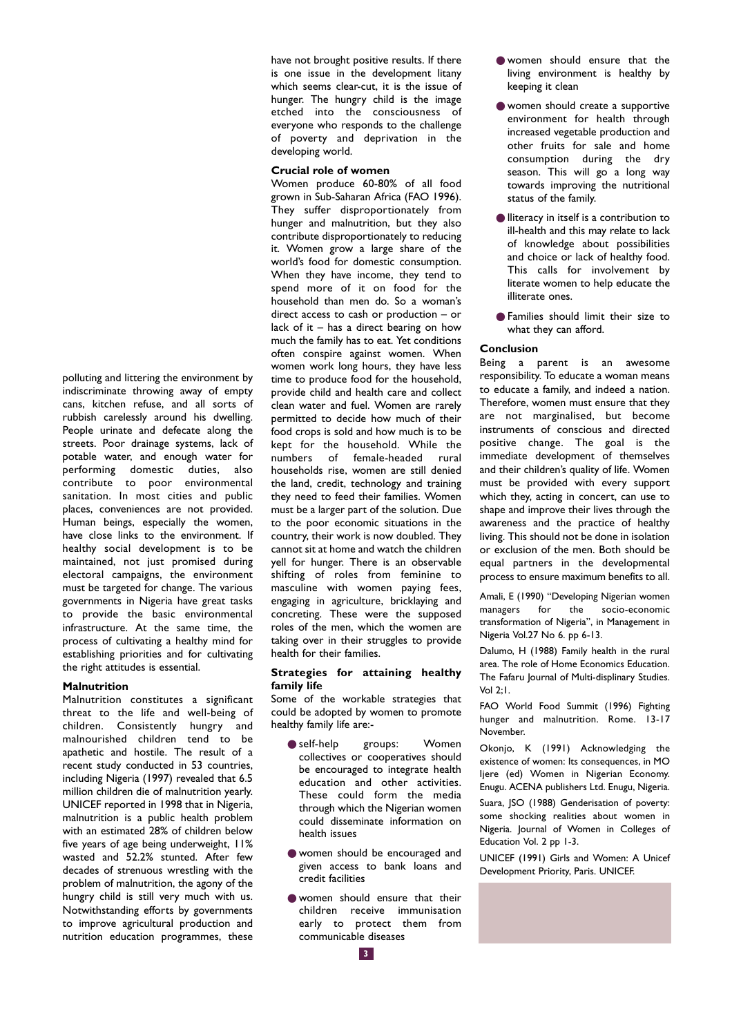polluting and littering the environment by indiscriminate throwing away of empty cans, kitchen refuse, and all sorts of rubbish carelessly around his dwelling. People urinate and defecate along the streets. Poor drainage systems, lack of potable water, and enough water for performing domestic duties, also contribute to poor environmental sanitation. In most cities and public places, conveniences are not provided. Human beings, especially the women, have close links to the environment. If healthy social development is to be maintained, not just promised during electoral campaigns, the environment must be targeted for change. The various governments in Nigeria have great tasks to provide the basic environmental infrastructure. At the same time, the process of cultivating a healthy mind for establishing priorities and for cultivating the right attitudes is essential.

#### **Malnutrition**

Malnutrition constitutes a significant threat to the life and well-being of children. Consistently hungry and malnourished children tend to be apathetic and hostile. The result of a recent study conducted in 53 countries, including Nigeria (1997) revealed that 6.5 million children die of malnutrition yearly. UNICEF reported in 1998 that in Nigeria, malnutrition is a public health problem with an estimated 28% of children below five years of age being underweight, 11% wasted and 52.2% stunted. After few decades of strenuous wrestling with the problem of malnutrition, the agony of the hungry child is still very much with us. Notwithstanding efforts by governments to improve agricultural production and nutrition education programmes, these

have not brought positive results. If there is one issue in the development litany which seems clear-cut, it is the issue of hunger. The hungry child is the image etched into the consciousness of everyone who responds to the challenge of poverty and deprivation in the developing world.

### **Crucial role of women**

Women produce 60-80% of all food grown in Sub-Saharan Africa (FAO 1996). They suffer disproportionately from hunger and malnutrition, but they also contribute disproportionately to reducing it. Women grow a large share of the world's food for domestic consumption. When they have income, they tend to spend more of it on food for the household than men do. So a woman's direct access to cash or production – or lack of it  $-$  has a direct bearing on how much the family has to eat. Yet conditions often conspire against women. When women work long hours, they have less time to produce food for the household, provide child and health care and collect clean water and fuel. Women are rarely permitted to decide how much of their food crops is sold and how much is to be kept for the household. While the numbers of female-headed rural households rise, women are still denied the land, credit, technology and training they need to feed their families. Women must be a larger part of the solution. Due to the poor economic situations in the country, their work is now doubled. They cannot sit at home and watch the children yell for hunger. There is an observable shifting of roles from feminine to masculine with women paying fees, engaging in agriculture, bricklaying and concreting. These were the supposed roles of the men, which the women are taking over in their struggles to provide health for their families.

#### **Strategies for attaining healthy family life**

Some of the workable strategies that could be adopted by women to promote healthy family life are:-

- self-help groups: Women collectives or cooperatives should be encouraged to integrate health education and other activities. These could form the media through which the Nigerian women could disseminate information on health issues
- women should be encouraged and given access to bank loans and credit facilities
- women should ensure that their children receive immunisation early to protect them from communicable diseases
- women should ensure that the living environment is healthy by keeping it clean
- women should create a supportive environment for health through increased vegetable production and other fruits for sale and home consumption during the dry season. This will go a long way towards improving the nutritional status of the family.
- lliteracy in itself is a contribution to ill-health and this may relate to lack of knowledge about possibilities and choice or lack of healthy food. This calls for involvement by literate women to help educate the illiterate ones.
- Families should limit their size to what they can afford.

#### **Conclusion**

Being a parent is an awesome responsibility. To educate a woman means to educate a family, and indeed a nation. Therefore, women must ensure that they are not marginalised, but become instruments of conscious and directed positive change. The goal is the immediate development of themselves and their children's quality of life. Women must be provided with every support which they, acting in concert, can use to shape and improve their lives through the awareness and the practice of healthy living. This should not be done in isolation or exclusion of the men. Both should be equal partners in the developmental process to ensure maximum benefits to all.

Amali, E (1990) "Developing Nigerian women managers for the socio-economic transformation of Nigeria", in Management in Nigeria Vol.27 No 6. pp 6-13.

Dalumo, H (1988) Family health in the rural area. The role of Home Economics Education. The Fafaru Journal of Multi-displinary Studies. Vol 2;1.

FAO World Food Summit (1996) Fighting hunger and malnutrition. Rome. 13-17 November.

Okonjo, K (1991) Acknowledging the existence of women: Its consequences, in MO Ijere (ed) Women in Nigerian Economy. Enugu. ACENA publishers Ltd. Enugu, Nigeria. Suara, JSO (1988) Genderisation of poverty:

some shocking realities about women in Nigeria. Journal of Women in Colleges of Education Vol. 2 pp 1-3.

UNICEF (1991) Girls and Women: A Unicef Development Priority, Paris. UNICEF.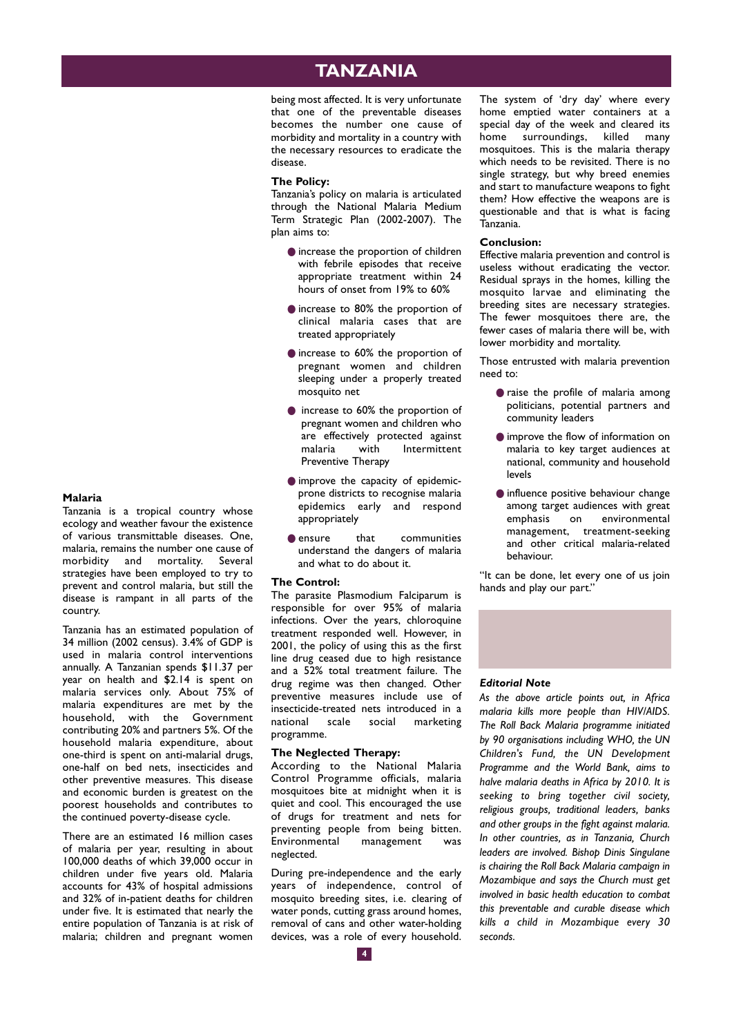## **TANZANIA**

being most affected. It is very unfortunate that one of the preventable diseases becomes the number one cause of morbidity and mortality in a country with the necessary resources to eradicate the disease.

### **The Policy:**

Tanzania's policy on malaria is articulated through the National Malaria Medium Term Strategic Plan (2002-2007). The plan aims to:

- increase the proportion of children with febrile episodes that receive appropriate treatment within 24 hours of onset from 19% to 60%
- increase to 80% the proportion of clinical malaria cases that are treated appropriately
- increase to 60% the proportion of pregnant women and children sleeping under a properly treated mosquito net
- increase to 60% the proportion of pregnant women and children who are effectively protected against malaria with Intermittent Preventive Therapy
- improve the capacity of epidemicprone districts to recognise malaria epidemics early and respond appropriately
- ensure that communities understand the dangers of malaria and what to do about it.

#### **The Control:**

The parasite Plasmodium Falciparum is responsible for over 95% of malaria infections. Over the years, chloroquine treatment responded well. However, in 2001, the policy of using this as the first line drug ceased due to high resistance and a 52% total treatment failure. The drug regime was then changed. Other preventive measures include use of .<br>insecticide-treated nets introduced in a<br>national scale social marketing marketing programme.

#### **The Neglected Therapy:**

According to the National Malaria Control Programme officials, malaria mosquitoes bite at midnight when it is quiet and cool. This encouraged the use of drugs for treatment and nets for preventing people from being bitten. Environmental management was neglected.

During pre-independence and the early years of independence, control of mosquito breeding sites, i.e. clearing of water ponds, cutting grass around homes, removal of cans and other water-holding devices, was a role of every household. The system of 'dry day' where every home emptied water containers at a special day of the week and cleared its home surroundings, killed many mosquitoes. This is the malaria therapy which needs to be revisited. There is no single strategy, but why breed enemies and start to manufacture weapons to fight them? How effective the weapons are is questionable and that is what is facing Tanzania.

#### **Conclusion:**

Effective malaria prevention and control is useless without eradicating the vector. Residual sprays in the homes, killing the mosquito larvae and eliminating the breeding sites are necessary strategies. The fewer mosquitoes there are, the fewer cases of malaria there will be, with lower morbidity and mortality.

Those entrusted with malaria prevention need to:

- raise the profile of malaria among politicians, potential partners and community leaders
- improve the flow of information on malaria to key target audiences at national, community and household levels
- influence positive behaviour change among target audiences with great<br>emphasis on environmental environmental management, treatment-seeking and other critical malaria-related behaviour.

"It can be done, let every one of us join hands and play our part."



### *Editorial Note*

*As the above article points out, in Africa malaria kills more people than HIV/AIDS. The Roll Back Malaria programme initiated by 90 organisations including WHO, the UN Children's Fund, the UN Development Programme and the World Bank, aims to halve malaria deaths in Africa by 2010. It is seeking to bring together civil society, religious groups, traditional leaders, banks and other groups in the fight against malaria. In other countries, as in Tanzania, Church leaders are involved. Bishop Dinis Singulane is chairing the Roll Back Malaria campaign in Mozambique and says the Church must get involved in basic health education to combat this preventable and curable disease which kills a child in Mozambique every 30 seconds.*

#### **Malaria**

Tanzania is a tropical country whose ecology and weather favour the existence of various transmittable diseases. One, malaria, remains the number one cause of morbidity and mortality. Several strategies have been employed to try to prevent and control malaria, but still the disease is rampant in all parts of the country.

Tanzania has an estimated population of 34 million (2002 census). 3.4% of GDP is used in malaria control interventions annually. A Tanzanian spends \$11.37 per year on health and \$2.14 is spent on malaria services only. About 75% of malaria expenditures are met by the household, with the Government contributing 20% and partners 5%. Of the household malaria expenditure, about one-third is spent on anti-malarial drugs, one-half on bed nets, insecticides and other preventive measures. This disease and economic burden is greatest on the poorest households and contributes to the continued poverty-disease cycle.

There are an estimated 16 million cases of malaria per year, resulting in about 100,000 deaths of which 39,000 occur in children under five years old. Malaria accounts for 43% of hospital admissions and 32% of in-patient deaths for children under five. It is estimated that nearly the entire population of Tanzania is at risk of malaria; children and pregnant women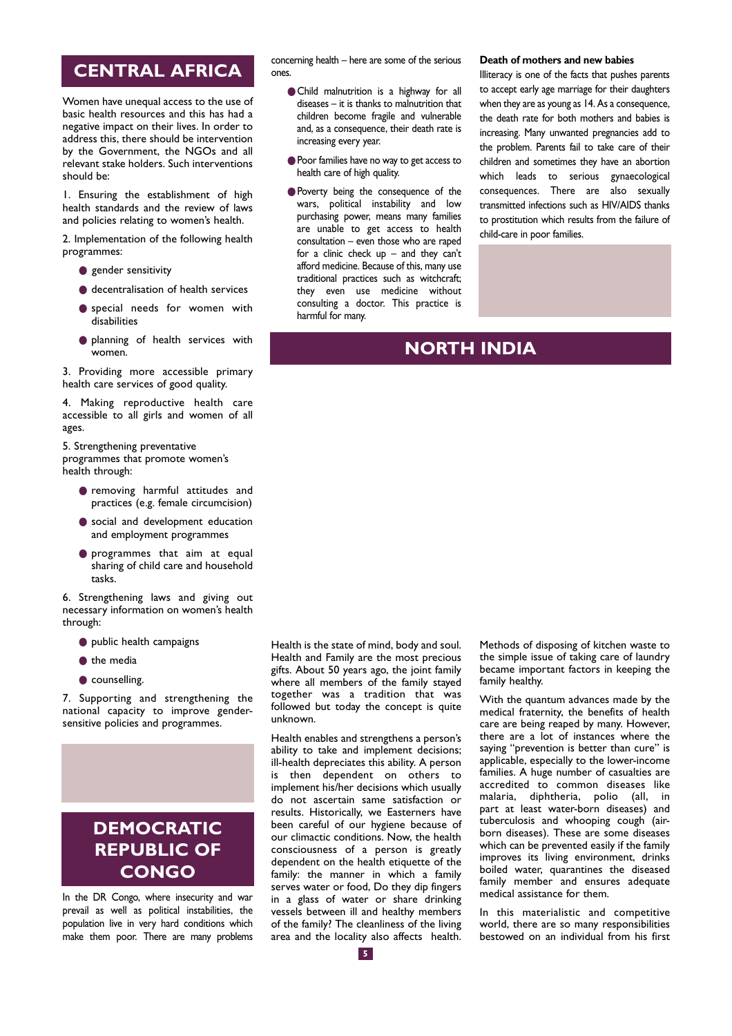## **CENTRAL AFRICA**

Women have unequal access to the use of basic health resources and this has had a negative impact on their lives. In order to address this, there should be intervention by the Government, the NGOs and all relevant stake holders. Such interventions should be:

1. Ensuring the establishment of high health standards and the review of laws and policies relating to women's health.

2. Implementation of the following health programmes:

- gender sensitivity
- decentralisation of health services
- special needs for women with disabilities
- planning of health services with women.

3. Providing more accessible primary health care services of good quality.

4. Making reproductive health care accessible to all girls and women of all ages.

5. Strengthening preventative programmes that promote women's health through:

- removing harmful attitudes and practices (e.g. female circumcision)
- $\bullet$  social and development education and employment programmes
- programmes that aim at equal sharing of child care and household tasks.
- 6. Strengthening laws and giving out necessary information on women's health through:
	- public health campaigns
	- the media
	- counselling.

7. Supporting and strengthening the national capacity to improve gendersensitive policies and programmes.

# **DEMOCRATIC REPUBLIC OF CONGO**

In the DR Congo, where insecurity and war prevail as well as political instabilities, the population live in very hard conditions which make them poor. There are many problems concerning health – here are some of the serious ones.

- Child malnutrition is a highway for all diseases – it is thanks to malnutrition that children become fragile and vulnerable and, as a consequence, their death rate is increasing every year.
- Poor families have no way to get access to health care of high quality.
- Poverty being the consequence of the wars, political instability and low purchasing power, means many families are unable to get access to health consultation – even those who are raped for a clinic check  $up$  – and they can't afford medicine. Because of this, many use traditional practices such as witchcraft; they even use medicine without consulting a doctor. This practice is harmful for many.

#### **Death of mothers and new babies**

Illiteracy is one of the facts that pushes parents to accept early age marriage for their daughters when they are as young as 14. As a consequence, the death rate for both mothers and babies is increasing. Many unwanted pregnancies add to the problem. Parents fail to take care of their children and sometimes they have an abortion which leads to serious gynaecological consequences. There are also sexually transmitted infections such as HIV/AIDS thanks to prostitution which results from the failure of child-care in poor families.

## **NORTH INDIA**

Health is the state of mind, body and soul. Health and Family are the most precious gifts. About 50 years ago, the joint family where all members of the family stayed together was a tradition that was followed but today the concept is quite unknown.

Health enables and strengthens a person's ability to take and implement decisions; ill-health depreciates this ability. A person is then dependent on others to implement his/her decisions which usually do not ascertain same satisfaction or results. Historically, we Easterners have been careful of our hygiene because of our climactic conditions. Now, the health consciousness of a person is greatly dependent on the health etiquette of the family: the manner in which a family serves water or food, Do they dip fingers in a glass of water or share drinking vessels between ill and healthy members of the family? The cleanliness of the living area and the locality also affects health.

Methods of disposing of kitchen waste to the simple issue of taking care of laundry became important factors in keeping the family healthy.

With the quantum advances made by the medical fraternity, the benefits of health care are being reaped by many. However, there are a lot of instances where the saying "prevention is better than cure" is applicable, especially to the lower-income families. A huge number of casualties are accredited to common diseases like malaria, diphtheria, polio (all, in part at least water-born diseases) and tuberculosis and whooping cough (airborn diseases). These are some diseases which can be prevented easily if the family improves its living environment, drinks boiled water, quarantines the diseased family member and ensures adequate medical assistance for them.

In this materialistic and competitive world, there are so many responsibilities bestowed on an individual from his first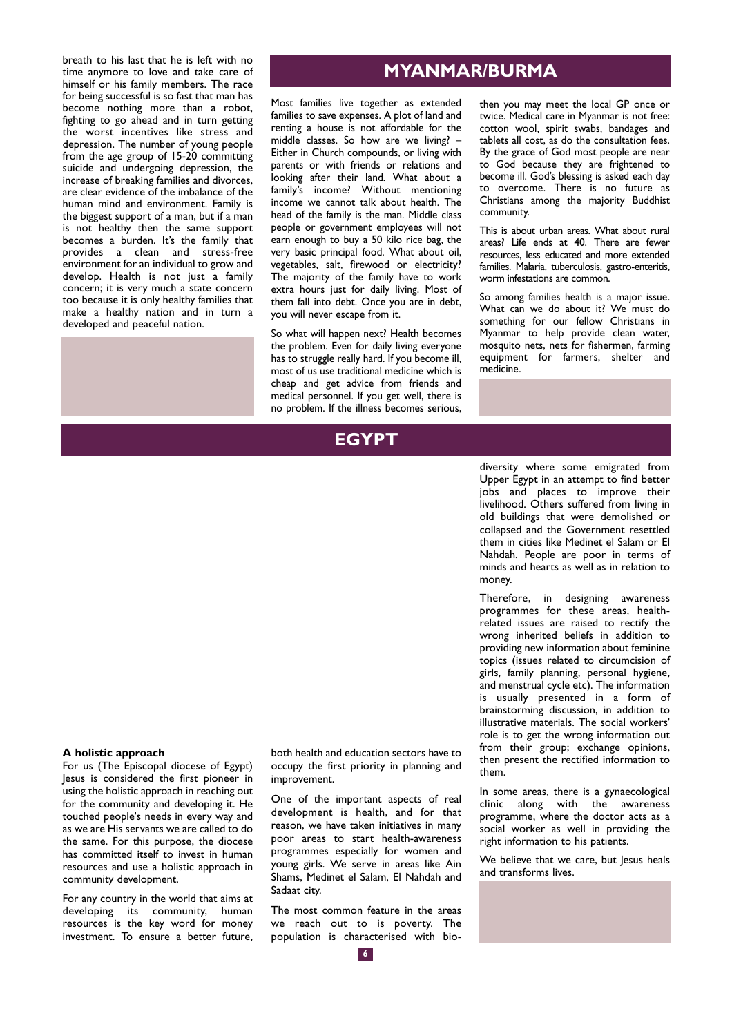breath to his last that he is left with no time anymore to love and take care of himself or his family members. The race for being successful is so fast that man has become nothing more than a robot, fighting to go ahead and in turn getting the worst incentives like stress and depression. The number of young people from the age group of 15-20 committing suicide and undergoing depression, the increase of breaking families and divorces, are clear evidence of the imbalance of the human mind and environment. Family is the biggest support of a man, but if a man is not healthy then the same support becomes a burden. It's the family that provides a clean and stress-free environment for an individual to grow and develop. Health is not just a family concern; it is very much a state concern too because it is only healthy families that make a healthy nation and in turn a developed and peaceful nation.

## **MYANMAR/BURMA**

Most families live together as extended families to save expenses. A plot of land and renting a house is not affordable for the middle classes. So how are we living? – Either in Church compounds, or living with parents or with friends or relations and looking after their land. What about a family's income? Without mentioning income we cannot talk about health. The head of the family is the man. Middle class people or government employees will not earn enough to buy a 50 kilo rice bag, the very basic principal food. What about oil, vegetables, salt, firewood or electricity? The majority of the family have to work extra hours just for daily living. Most of them fall into debt. Once you are in debt, you will never escape from it.

So what will happen next? Health becomes the problem. Even for daily living everyone has to struggle really hard. If you become ill, most of us use traditional medicine which is cheap and get advice from friends and medical personnel. If you get well, there is no problem. If the illness becomes serious,

## **EGYPT**

then you may meet the local GP once or twice. Medical care in Myanmar is not free: cotton wool, spirit swabs, bandages and tablets all cost, as do the consultation fees. By the grace of God most people are near to God because they are frightened to become ill. God's blessing is asked each day to overcome. There is no future as Christians among the majority Buddhist community.

This is about urban areas. What about rural areas? Life ends at 40. There are fewer resources, less educated and more extended families. Malaria, tuberculosis, gastro-enteritis, worm infestations are common.

So among families health is a major issue. What can we do about it? We must do something for our fellow Christians in Myanmar to help provide clean water, mosquito nets, nets for fishermen, farming equipment for farmers, shelter and medicine.

diversity where some emigrated from Upper Egypt in an attempt to find better jobs and places to improve their livelihood. Others suffered from living in old buildings that were demolished or collapsed and the Government resettled them in cities like Medinet el Salam or El Nahdah. People are poor in terms of minds and hearts as well as in relation to money.

Therefore, in designing awareness programmes for these areas, healthrelated issues are raised to rectify the wrong inherited beliefs in addition to providing new information about feminine topics (issues related to circumcision of girls, family planning, personal hygiene, and menstrual cycle etc). The information is usually presented in a form of brainstorming discussion, in addition to illustrative materials. The social workers' role is to get the wrong information out from their group; exchange opinions, then present the rectified information to them.

In some areas, there is a gynaecological clinic along with the awareness programme, where the doctor acts as a social worker as well in providing the right information to his patients.

We believe that we care, but lesus heals and transforms lives.

### **A holistic approach**

For us (The Episcopal diocese of Egypt) Jesus is considered the first pioneer in using the holistic approach in reaching out for the community and developing it. He touched people's needs in every way and as we are His servants we are called to do the same. For this purpose, the diocese has committed itself to invest in human resources and use a holistic approach in community development.

For any country in the world that aims at developing its community, human resources is the key word for money investment. To ensure a better future,

both health and education sectors have to occupy the first priority in planning and improvement.

One of the important aspects of real development is health, and for that reason, we have taken initiatives in many poor areas to start health-awareness programmes especially for women and young girls. We serve in areas like Ain Shams, Medinet el Salam, El Nahdah and Sadaat city.

The most common feature in the areas we reach out to is poverty. The population is characterised with bio-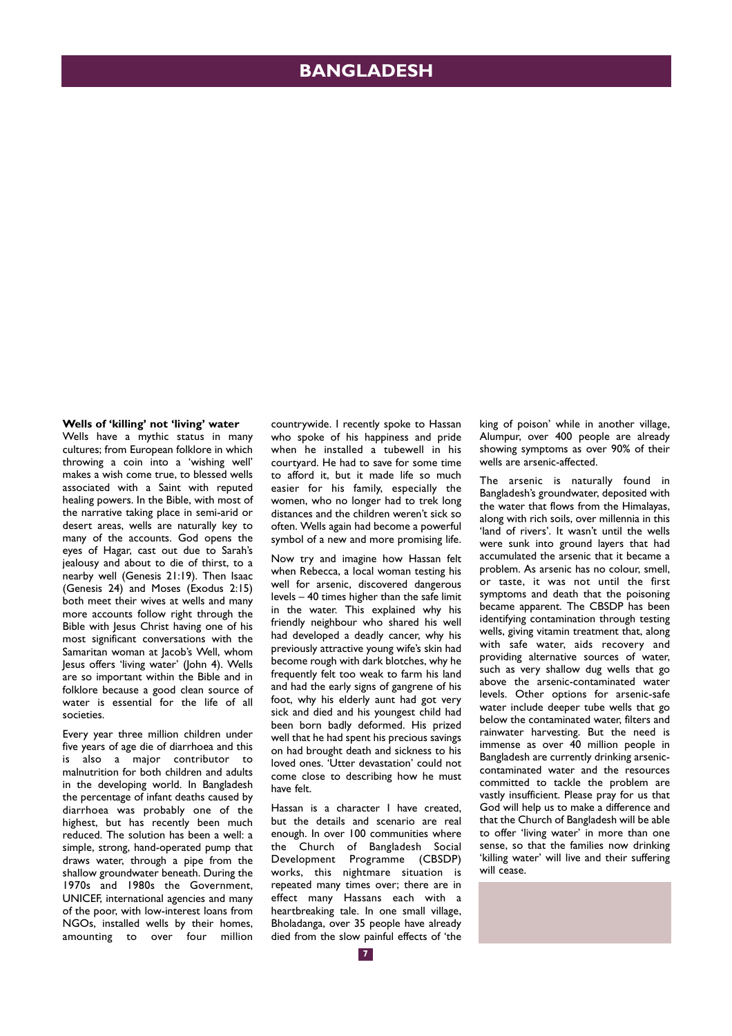## **BANGLADESH**

**Wells of 'killing' not 'living' water**

Wells have a mythic status in many cultures; from European folklore in which throwing a coin into a 'wishing well' makes a wish come true, to blessed wells associated with a Saint with reputed healing powers. In the Bible, with most of the narrative taking place in semi-arid or desert areas, wells are naturally key to many of the accounts. God opens the eyes of Hagar, cast out due to Sarah's jealousy and about to die of thirst, to a nearby well (Genesis 21:19). Then Isaac (Genesis 24) and Moses (Exodus 2:15) both meet their wives at wells and many more accounts follow right through the Bible with lesus Christ having one of his most significant conversations with the Samaritan woman at Jacob's Well, whom Jesus offers 'living water' (John 4). Wells are so important within the Bible and in folklore because a good clean source of water is essential for the life of all societies.

Every year three million children under five years of age die of diarrhoea and this is also a major contributor to malnutrition for both children and adults in the developing world. In Bangladesh the percentage of infant deaths caused by diarrhoea was probably one of the highest, but has recently been much reduced. The solution has been a well: a simple, strong, hand-operated pump that draws water, through a pipe from the shallow groundwater beneath. During the 1970s and 1980s the Government, UNICEF, international agencies and many of the poor, with low-interest loans from NGOs, installed wells by their homes, amounting to over four million

countrywide. I recently spoke to Hassan who spoke of his happiness and pride when he installed a tubewell in his courtyard. He had to save for some time to afford it, but it made life so much easier for his family, especially the women, who no longer had to trek long distances and the children weren't sick so often. Wells again had become a powerful symbol of a new and more promising life.

Now try and imagine how Hassan felt when Rebecca, a local woman testing his well for arsenic, discovered dangerous levels – 40 times higher than the safe limit in the water. This explained why his friendly neighbour who shared his well had developed a deadly cancer, why his previously attractive young wife's skin had become rough with dark blotches, why he frequently felt too weak to farm his land and had the early signs of gangrene of his foot, why his elderly aunt had got very sick and died and his youngest child had been born badly deformed. His prized well that he had spent his precious savings on had brought death and sickness to his loved ones. 'Utter devastation' could not come close to describing how he must have felt.

Hassan is a character I have created, but the details and scenario are real enough. In over 100 communities where the Church of Bangladesh Social Development Programme (CBSDP) works, this nightmare situation is repeated many times over; there are in effect many Hassans each with a heartbreaking tale. In one small village, Bholadanga, over 35 people have already died from the slow painful effects of 'the king of poison' while in another village, Alumpur, over 400 people are already showing symptoms as over 90% of their wells are arsenic-affected.

The arsenic is naturally found in Bangladesh's groundwater, deposited with the water that flows from the Himalayas, along with rich soils, over millennia in this 'land of rivers'. It wasn't until the wells were sunk into ground layers that had accumulated the arsenic that it became a problem. As arsenic has no colour, smell, .<br>or taste, it was not until the first symptoms and death that the poisoning became apparent. The CBSDP has been identifying contamination through testing wells, giving vitamin treatment that, along with safe water, aids recovery and providing alternative sources of water, such as very shallow dug wells that go above the arsenic-contaminated water levels. Other options for arsenic-safe water include deeper tube wells that go below the contaminated water, filters and rainwater harvesting. But the need is immense as over 40 million people in Bangladesh are currently drinking arseniccontaminated water and the resources committed to tackle the problem are vastly insufficient. Please pray for us that God will help us to make a difference and that the Church of Bangladesh will be able to offer 'living water' in more than one sense, so that the families now drinking 'killing water' will live and their suffering will cease.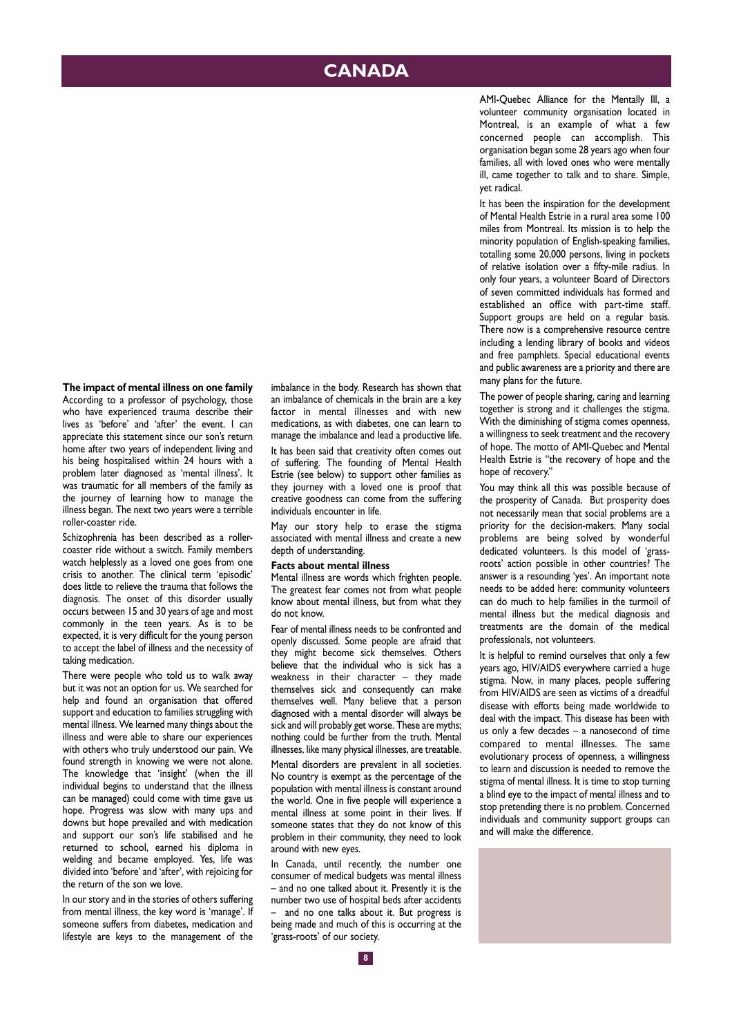## **CANADA**

**The impact of mental illness on one family** According to a professor of psychology, those who have experienced trauma describe their lives as 'before' and 'after' the event. I can appreciate this statement since our son's return home after two years of independent living and his being hospitalised within 24 hours with a problem later diagnosed as 'mental illness'. It was traumatic for all members of the family as the journey of learning how to manage the illness began. The next two years were a terrible roller-coaster ride.

Schizophrenia has been described as a rollercoaster ride without a switch. Family members watch helplessly as a loved one goes from one crisis to another. The clinical term 'episodic' does little to relieve the trauma that follows the diagnosis. The onset of this disorder usually occurs between 15 and 30 years of age and most commonly in the teen years. As is to be expected, it is very difficult for the young person to accept the label of illness and the necessity of taking medication.

There were people who told us to walk away but it was not an option for us. We searched for help and found an organisation that offered support and education to families struggling with mental illness. We learned many things about the illness and were able to share our experiences with others who truly understood our pain. We found strength in knowing we were not alone. The knowledge that 'insight' (when the ill individual begins to understand that the illness can be managed) could come with time gave us hope. Progress was slow with many ups and downs but hope prevailed and with medication and support our son's life stabilised and he returned to school, earned his diploma in welding and became employed. Yes, life was divided into 'before' and 'after', with rejoicing for the return of the son we love.

In our story and in the stories of others suffering from mental illness, the key word is 'manage'. If someone suffers from diabetes, medication and lifestyle are keys to the management of the imbalance in the body. Research has shown that an imbalance of chemicals in the brain are a key factor in mental illnesses and with new medications, as with diabetes, one can learn to manage the imbalance and lead a productive life.

It has been said that creativity often comes out of suffering. The founding of Mental Health Estrie (see below) to support other families as they journey with a loved one is proof that creative goodness can come from the suffering individuals encounter in life.

May our story help to erase the stigma associated with mental illness and create a new depth of understanding.

#### **Facts about mental illness**

Mental illness are words which frighten people. The greatest fear comes not from what people know about mental illness, but from what they do not know.

Fear of mental illness needs to be confronted and openly discussed. Some people are afraid that they might become sick themselves. Others believe that the individual who is sick has a weakness in their character – they made themselves sick and consequently can make themselves well. Many believe that a person diagnosed with a mental disorder will always be sick and will probably get worse. These are myths; nothing could be further from the truth. Mental illnesses, like many physical illnesses, are treatable.

Mental disorders are prevalent in all societies. No country is exempt as the percentage of the population with mental illness is constant around the world. One in five people will experience a mental illness at some point in their lives. If someone states that they do not know of this problem in their community, they need to look around with new eyes.

In Canada, until recently, the number one consumer of medical budgets was mental illness – and no one talked about it. Presently it is the number two use of hospital beds after accidents – and no one talks about it. But progress is being made and much of this is occurring at the 'grass-roots' of our society.

AMI-Quebec Alliance for the Mentally Ill, a volunteer community organisation located in Montreal, is an example of what a few concerned people can accomplish. This organisation began some 28 years ago when four families, all with loved ones who were mentally ill, came together to talk and to share. Simple, yet radical.

It has been the inspiration for the development of Mental Health Estrie in a rural area some 100 miles from Montreal. Its mission is to help the minority population of English-speaking families, totalling some 20,000 persons, living in pockets of relative isolation over a fifty-mile radius. In only four years, a volunteer Board of Directors of seven committed individuals has formed and established an office with part-time staff. Support groups are held on a regular basis. There now is a comprehensive resource centre including a lending library of books and videos and free pamphlets. Special educational events and public awareness are a priority and there are many plans for the future.

The power of people sharing, caring and learning together is strong and it challenges the stigma. With the diminishing of stigma comes openness, a willingness to seek treatment and the recovery of hope. The motto of AMI-Quebec and Mental Health Estrie is "the recovery of hope and the hope of recovery."

You may think all this was possible because of the prosperity of Canada. But prosperity does not necessarily mean that social problems are a priority for the decision-makers. Many social problems are being solved by wonderful dedicated volunteers. Is this model of 'grassroots' action possible in other countries? The answer is a resounding 'yes'. An important note needs to be added here: community volunteers can do much to help families in the turmoil of mental illness but the medical diagnosis and treatments are the domain of the medical professionals, not volunteers.

It is helpful to remind ourselves that only a few years ago, HIV/AIDS everywhere carried a huge stigma. Now, in many places, people suffering from HIV/AIDS are seen as victims of a dreadful disease with efforts being made worldwide to deal with the impact. This disease has been with us only a few decades – a nanosecond of time compared to mental illnesses. The same evolutionary process of openness, a willingness to learn and discussion is needed to remove the stigma of mental illness. It is time to stop turning a blind eye to the impact of mental illness and to stop pretending there is no problem. Concerned individuals and community support groups can and will make the difference.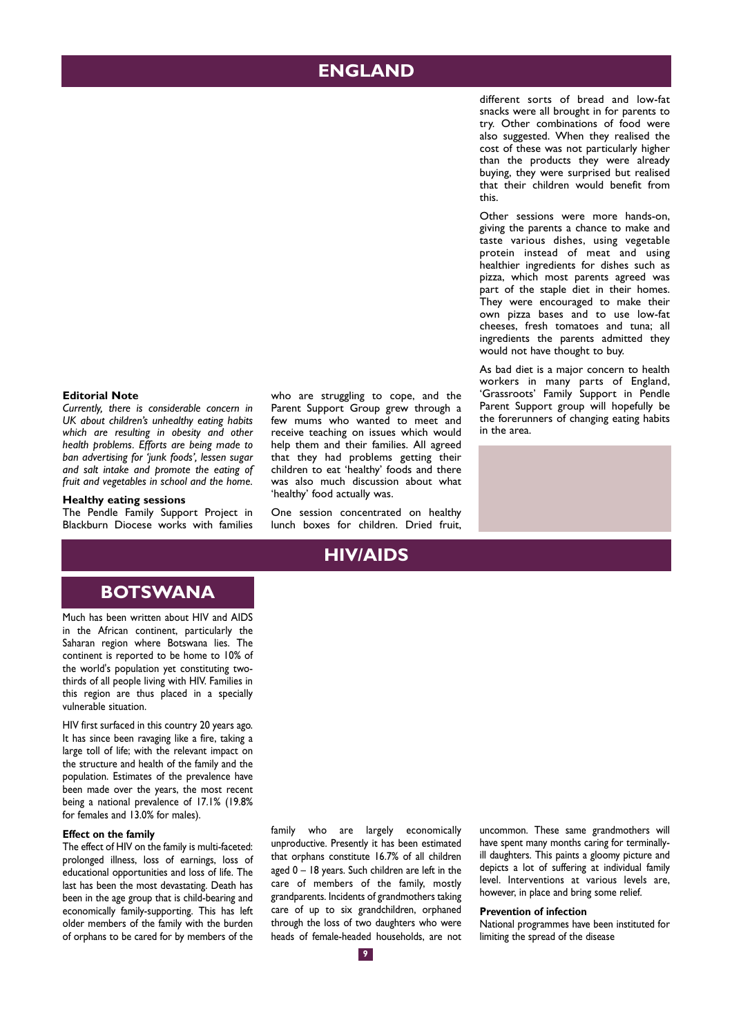## **ENGLAND**

different sorts of bread and low-fat snacks were all brought in for parents to try. Other combinations of food were also suggested. When they realised the cost of these was not particularly higher than the products they were already buying, they were surprised but realised that their children would benefit from this.

Other sessions were more hands-on, giving the parents a chance to make and taste various dishes, using vegetable protein instead of meat and using healthier ingredients for dishes such as pizza, which most parents agreed was part of the staple diet in their homes. They were encouraged to make their own pizza bases and to use low-fat cheeses, fresh tomatoes and tuna; all ingredients the parents admitted they would not have thought to buy.

As bad diet is a major concern to health workers in many parts of England, 'Grassroots' Family Support in Pendle Parent Support group will hopefully be the forerunners of changing eating habits in the area.

#### **Editorial Note**

*Currently, there is considerable concern in UK about children's unhealthy eating habits which are resulting in obesity and other health problems. Efforts are being made to ban advertising for 'junk foods', lessen sugar and salt intake and promote the eating of fruit and vegetables in school and the home.*

#### **Healthy eating sessions**

The Pendle Family Support Project in Blackburn Diocese works with families who are struggling to cope, and the Parent Support Group grew through a few mums who wanted to meet and receive teaching on issues which would help them and their families. All agreed that they had problems getting their children to eat 'healthy' foods and there was also much discussion about what 'healthy' food actually was.

One session concentrated on healthy lunch boxes for children. Dried fruit,

## **HIV/AIDS**

## **BOTSWANA**

Much has been written about HIV and AIDS in the African continent, particularly the Saharan region where Botswana lies. The continent is reported to be home to 10% of the world's population yet constituting twothirds of all people living with HIV. Families in this region are thus placed in a specially vulnerable situation.

HIV first surfaced in this country 20 years ago. It has since been ravaging like a fire, taking a large toll of life; with the relevant impact on the structure and health of the family and the population. Estimates of the prevalence have been made over the years, the most recent being a national prevalence of 17.1% (19.8% for females and 13.0% for males).

#### **Effect on the family**

The effect of HIV on the family is multi-faceted: prolonged illness, loss of earnings, loss of educational opportunities and loss of life. The last has been the most devastating. Death has been in the age group that is child-bearing and economically family-supporting. This has left older members of the family with the burden of orphans to be cared for by members of the family who are largely economically unproductive. Presently it has been estimated that orphans constitute 16.7% of all children aged 0 – 18 years. Such children are left in the care of members of the family, mostly grandparents. Incidents of grandmothers taking care of up to six grandchildren, orphaned through the loss of two daughters who were heads of female-headed households, are not uncommon. These same grandmothers will have spent many months caring for terminallyill daughters. This paints a gloomy picture and depicts a lot of suffering at individual family level. Interventions at various levels are, however, in place and bring some relief.

#### **Prevention of infection**

National programmes have been instituted for limiting the spread of the disease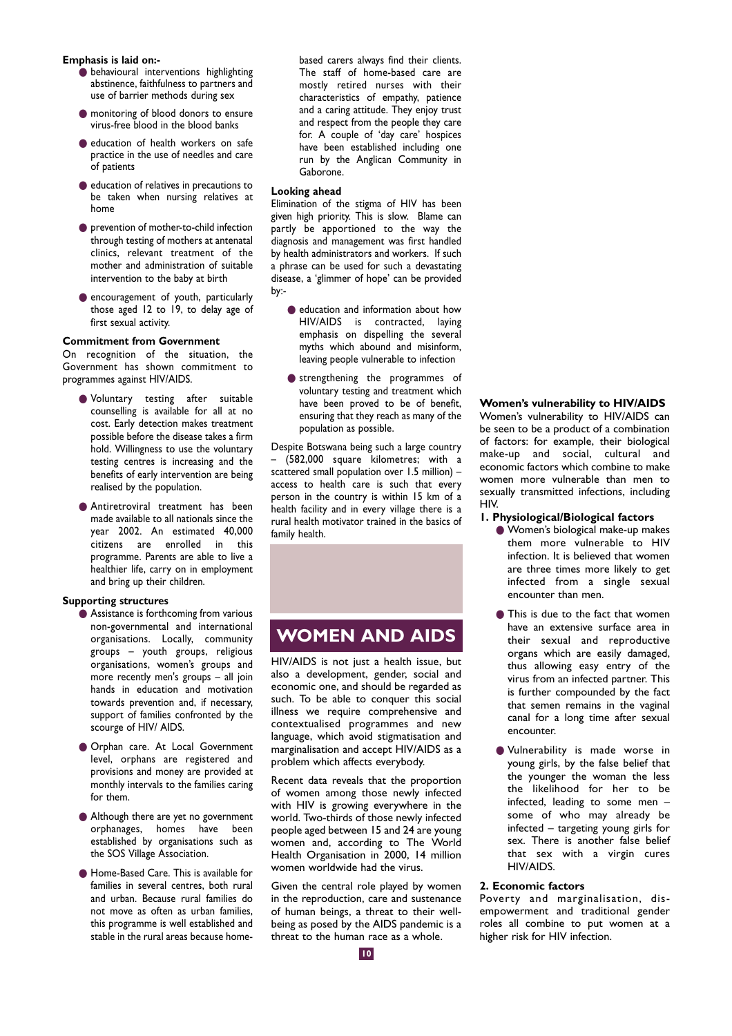**Emphasis is laid on:-**

- **O** behavioural interventions highlighting abstinence, faithfulness to partners and use of barrier methods during sex
- monitoring of blood donors to ensure virus-free blood in the blood banks
- education of health workers on safe practice in the use of needles and care of patients
- education of relatives in precautions to be taken when nursing relatives at home
- prevention of mother-to-child infection through testing of mothers at antenatal clinics, relevant treatment of the mother and administration of suitable intervention to the baby at birth
- encouragement of youth, particularly those aged 12 to 19, to delay age of first sexual activity.

#### **Commitment from Government**

On recognition of the situation, the Government has shown commitment to programmes against HIV/AIDS.

- Voluntary testing after suitable counselling is available for all at no cost. Early detection makes treatment possible before the disease takes a firm hold. Willingness to use the voluntary testing centres is increasing and the benefits of early intervention are being realised by the population.
- Antiretroviral treatment has been made available to all nationals since the year 2002. An estimated 40,000 citizens are enrolled in this programme. Parents are able to live a healthier life, carry on in employment and bring up their children.

#### **Supporting structures**

- Assistance is forthcoming from various non-governmental and international organisations. Locally, community groups – youth groups, religious organisations, women's groups and more recently men's groups – all join hands in education and motivation towards prevention and, if necessary, support of families confronted by the scourge of HIV/ AIDS.
- Orphan care. At Local Government level, orphans are registered and provisions and money are provided at monthly intervals to the families caring for them.
- Although there are yet no government orphanages, homes have been established by organisations such as the SOS Village Association.
- Home-Based Care. This is available for families in several centres, both rural and urban. Because rural families do not move as often as urban families, this programme is well established and stable in the rural areas because home-

based carers always find their clients. The staff of home-based care are mostly retired nurses with their characteristics of empathy, patience and a caring attitude. They enjoy trust and respect from the people they care for. A couple of 'day care' hospices have been established including one run by the Anglican Community in Gaborone.

#### **Looking ahead**

Elimination of the stigma of HIV has been given high priority. This is slow. Blame can partly be apportioned to the way the diagnosis and management was first handled by health administrators and workers. If such a phrase can be used for such a devastating disease, a 'glimmer of hope' can be provided by:-

- education and information about how HIV/AIDS is contracted, laying emphasis on dispelling the several myths which abound and misinform, leaving people vulnerable to infection
- strengthening the programmes of voluntary testing and treatment which have been proved to be of benefit, ensuring that they reach as many of the population as possible.

Despite Botswana being such a large country – (582,000 square kilometres; with a scattered small population over 1.5 million) – access to health care is such that every person in the country is within 15 km of a health facility and in every village there is a rural health motivator trained in the basics of family health.

## **WOMEN AND AIDS**

HIV/AIDS is not just a health issue, but also a development, gender, social and economic one, and should be regarded as such. To be able to conquer this social illness we require comprehensive and contextualised programmes and new language, which avoid stigmatisation and marginalisation and accept HIV/AIDS as a problem which affects everybody.

Recent data reveals that the proportion of women among those newly infected with HIV is growing everywhere in the world. Two-thirds of those newly infected people aged between 15 and 24 are young women and, according to The World Health Organisation in 2000, 14 million women worldwide had the virus.

Given the central role played by women in the reproduction, care and sustenance of human beings, a threat to their wellbeing as posed by the AIDS pandemic is a threat to the human race as a whole.

#### **Women's vulnerability to HIV/AIDS**

Women's vulnerability to HIV/AIDS can be seen to be a product of a combination of factors: for example, their biological make-up and social, cultural and economic factors which combine to make women more vulnerable than men to sexually transmitted infections, including HIV.

#### **1. Physiological/Biological factors**

- Women's biological make-up makes them more vulnerable to HIV infection. It is believed that women are three times more likely to get infected from a single sexual encounter than men.
- This is due to the fact that women have an extensive surface area in their sexual and reproductive organs which are easily damaged, thus allowing easy entry of the virus from an infected partner. This is further compounded by the fact that semen remains in the vaginal canal for a long time after sexual encounter.
- Vulnerability is made worse in young girls, by the false belief that the younger the woman the less the likelihood for her to be infected, leading to some men – some of who may already be infected – targeting young girls for sex. There is another false belief that sex with a virgin cures HIV/AIDS.

#### **2. Economic factors**

Poverty and marginalisation, disempowerment and traditional gender roles all combine to put women at a higher risk for HIV infection.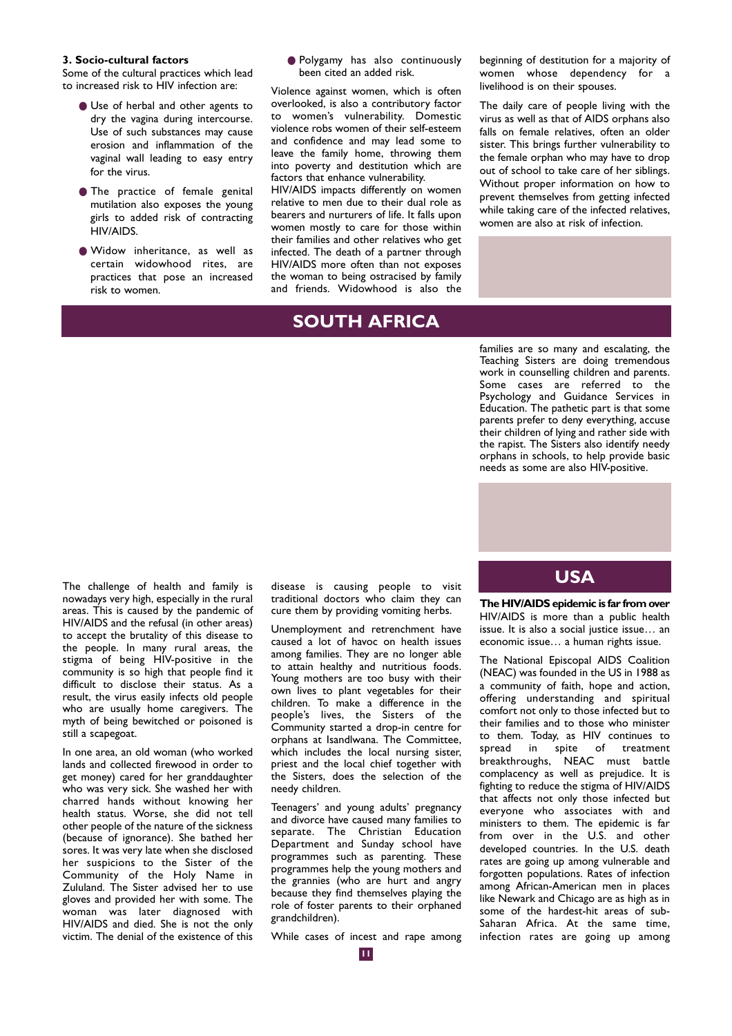#### **3. Socio-cultural factors**

Some of the cultural practices which lead to increased risk to HIV infection are:

- Use of herbal and other agents to dry the vagina during intercourse. Use of such substances may cause erosion and inflammation of the vaginal wall leading to easy entry for the virus.
- The practice of female genital mutilation also exposes the young girls to added risk of contracting HIV/AIDS.
- Widow inheritance, as well as certain widowhood rites, are practices that pose an increased risk to women.

● Polygamy has also continuously been cited an added risk.

Violence against women, which is often overlooked, is also a contributory factor to women's vulnerability. Domestic violence robs women of their self-esteem and confidence and may lead some to leave the family home, throwing them into poverty and destitution which are factors that enhance vulnerability.

HIV/AIDS impacts differently on women relative to men due to their dual role as bearers and nurturers of life. It falls upon women mostly to care for those within their families and other relatives who get infected. The death of a partner through HIV/AIDS more often than not exposes the woman to being ostracised by family and friends. Widowhood is also the

## **SOUTH AFRICA**

beginning of destitution for a majority of women whose dependency for a livelihood is on their spouses.

The daily care of people living with the virus as well as that of AIDS orphans also falls on female relatives, often an older sister. This brings further vulnerability to the female orphan who may have to drop out of school to take care of her siblings. Without proper information on how to prevent themselves from getting infected while taking care of the infected relatives, women are also at risk of infection.

families are so many and escalating, the Teaching Sisters are doing tremendous work in counselling children and parents. Some cases are referred to the Psychology and Guidance Services in Education. The pathetic part is that some parents prefer to deny everything, accuse their children of lying and rather side with the rapist. The Sisters also identify needy orphans in schools, to help provide basic needs as some are also HIV-positive.

nowadays very high, especially in the rural areas. This is caused by the pandemic of HIV/AIDS and the refusal (in other areas) to accept the brutality of this disease to the people. In many rural areas, the stigma of being HIV-positive in the community is so high that people find it difficult to disclose their status. As a result, the virus easily infects old people who are usually home caregivers. The myth of being bewitched or poisoned is still a scapegoat.

In one area, an old woman (who worked lands and collected firewood in order to get money) cared for her granddaughter who was very sick. She washed her with charred hands without knowing her health status. Worse, she did not tell other people of the nature of the sickness (because of ignorance). She bathed her sores. It was very late when she disclosed her suspicions to the Sister of the Community of the Holy Name in Zululand. The Sister advised her to use gloves and provided her with some. The woman was later diagnosed with HIV/AIDS and died. She is not the only victim. The denial of the existence of this

The challenge of health and family is **USA** disease is causing people to visit traditional doctors who claim they can cure them by providing vomiting herbs.

> Unemployment and retrenchment have caused a lot of havoc on health issues among families. They are no longer able to attain healthy and nutritious foods. Young mothers are too busy with their own lives to plant vegetables for their children. To make a difference in the people's lives, the Sisters of the Community started a drop-in centre for orphans at Isandlwana. The Committee, which includes the local nursing sister, priest and the local chief together with the Sisters, does the selection of the needy children.

> Teenagers' and young adults' pregnancy and divorce have caused many families to separate. The Christian Education Department and Sunday school have programmes such as parenting. These programmes help the young mothers and the grannies (who are hurt and angry because they find themselves playing the role of foster parents to their orphaned grandchildren).

> While cases of incest and rape among

**The HIV/AIDS epidemic is far from over** HIV/AIDS is more than a public health issue. It is also a social justice issue… an economic issue… a human rights issue.

The National Episcopal AIDS Coalition (NEAC) was founded in the US in 1988 as a community of faith, hope and action, offering understanding and spiritual comfort not only to those infected but to their families and to those who minister to them. Today, as HIV continues to spread in spite of treatment breakthroughs, NEAC must battle complacency as well as prejudice. It is fighting to reduce the stigma of HIV/AIDS that affects not only those infected but everyone who associates with and ministers to them. The epidemic is far from over in the U.S. and other developed countries. In the U.S. death rates are going up among vulnerable and forgotten populations. Rates of infection among African-American men in places like Newark and Chicago are as high as in some of the hardest-hit areas of sub-Saharan Africa. At the same time, infection rates are going up among